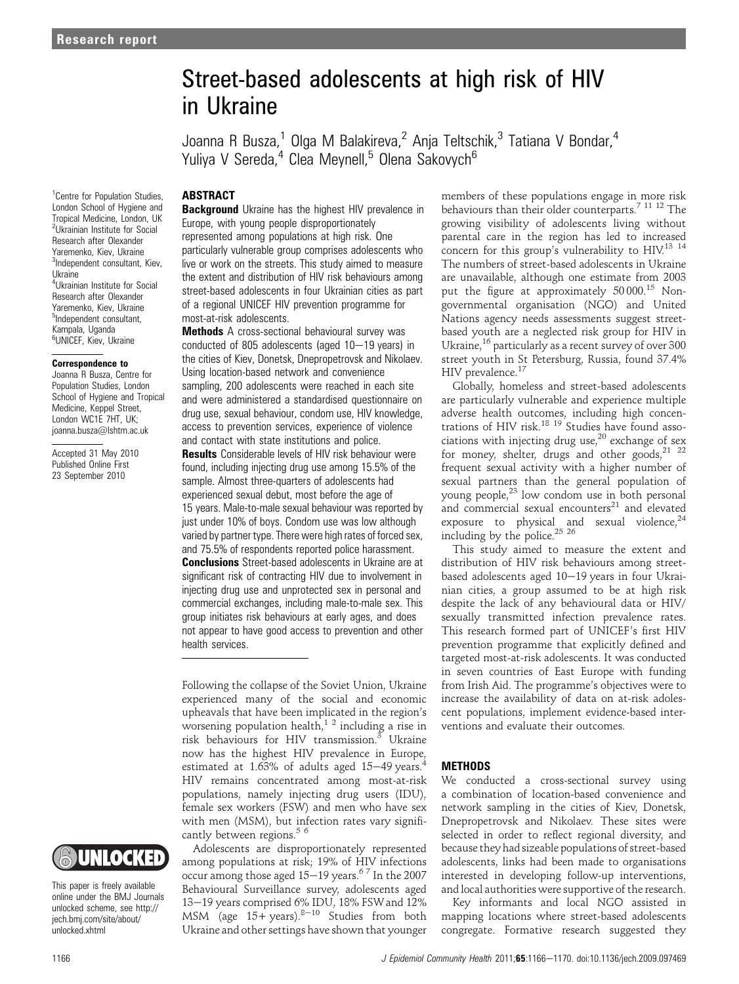# Street-based adolescents at high risk of HIV in Ukraine

Joanna R Busza,<sup>1</sup> Olga M Balakireva,<sup>2</sup> Anja Teltschik,<sup>3</sup> Tatiana V Bondar,<sup>4</sup> Yuliya V Sereda,<sup>4</sup> Clea Meynell,<sup>5</sup> Olena Sakovych<sup>6</sup>

## **ABSTRACT**

<sup>1</sup> Centre for Population Studies, London School of Hygiene and Tropical Medicine, London, UK 2 Ukrainian Institute for Social Research after Olexander Yaremenko, Kiev, Ukraine 3 Independent consultant, Kiev, Ukraine 4 Ukrainian Institute for Social Research after Olexander Yaremenko, Kiev, Ukraine <sup>5</sup>Independent consultant, Kampala, Uganda 6 UNICEF, Kiev, Ukraine

#### Correspondence to

Joanna R Busza, Centre for Population Studies, London School of Hygiene and Tropical Medicine, Keppel Street, London WC1E 7HT, UK; joanna.busza@lshtm.ac.uk

Accepted 31 May 2010 Published Online First 23 September 2010

**Background** Ukraine has the highest HIV prevalence in Europe, with young people disproportionately represented among populations at high risk. One particularly vulnerable group comprises adolescents who live or work on the streets. This study aimed to measure the extent and distribution of HIV risk behaviours among street-based adolescents in four Ukrainian cities as part of a regional UNICEF HIV prevention programme for most-at-risk adolescents.

Methods A cross-sectional behavioural survey was conducted of 805 adolescents (aged  $10-19$  years) in the cities of Kiev, Donetsk, Dnepropetrovsk and Nikolaev. Using location-based network and convenience sampling, 200 adolescents were reached in each site and were administered a standardised questionnaire on drug use, sexual behaviour, condom use, HIV knowledge, access to prevention services, experience of violence and contact with state institutions and police.

**Results** Considerable levels of HIV risk behaviour were found, including injecting drug use among 15.5% of the sample. Almost three-quarters of adolescents had experienced sexual debut, most before the age of 15 years. Male-to-male sexual behaviour was reported by just under 10% of boys. Condom use was low although varied by partner type. There were high rates of forced sex, and 75.5% of respondents reported police harassment.

**Conclusions** Street-based adolescents in Ukraine are at significant risk of contracting HIV due to involvement in injecting drug use and unprotected sex in personal and commercial exchanges, including male-to-male sex. This group initiates risk behaviours at early ages, and does not appear to have good access to prevention and other health services.

Following the collapse of the Soviet Union, Ukraine experienced many of the social and economic upheavals that have been implicated in the region's worsening population health,<sup>12</sup> including a rise in risk behaviours for HIV transmission.<sup>3</sup> Ukraine now has the highest HIV prevalence in Europe, estimated at 1.63% of adults aged  $15-49$  years.<sup>4</sup> HIV remains concentrated among most-at-risk populations, namely injecting drug users (IDU), female sex workers (FSW) and men who have sex with men (MSM), but infection rates vary significantly between regions.<sup>5 6</sup>



This paper is freely available online under the BMJ Journals unlocked scheme, see http:// jech.bmj.com/site/about/ unlocked.xhtml

members of these populations engage in more risk behaviours than their older counterparts.7 11 12 The growing visibility of adolescents living without parental care in the region has led to increased concern for this group's vulnerability to HIV.<sup>13</sup> <sup>14</sup> The numbers of street-based adolescents in Ukraine are unavailable, although one estimate from 2003 put the figure at approximately 50 000.15 Nongovernmental organisation (NGO) and United Nations agency needs assessments suggest streetbased youth are a neglected risk group for HIV in Ukraine,  $16$  particularly as a recent survey of over 300 street youth in St Petersburg, Russia, found 37.4% HIV prevalence.<sup>17</sup>

Globally, homeless and street-based adolescents are particularly vulnerable and experience multiple adverse health outcomes, including high concentrations of HIV risk.<sup>18 19</sup> Studies have found associations of  $\frac{1}{11}$  and  $\frac{1}{10}$  exchange of sex for money, shelter, drugs and other goods,  $21$   $22$ frequent sexual activity with a higher number of sexual partners than the general population of young people,<sup>23</sup> low condom use in both personal and commercial sexual encounters $21$  and elevated exposure to physical and sexual violence,<sup>24</sup> including by the police.<sup>25</sup><sup>26</sup>

This study aimed to measure the extent and distribution of HIV risk behaviours among streetbased adolescents aged  $10-19$  years in four Ukrainian cities, a group assumed to be at high risk despite the lack of any behavioural data or HIV/ sexually transmitted infection prevalence rates. This research formed part of UNICEF's first HIV prevention programme that explicitly defined and targeted most-at-risk adolescents. It was conducted in seven countries of East Europe with funding from Irish Aid. The programme's objectives were to increase the availability of data on at-risk adolescent populations, implement evidence-based interventions and evaluate their outcomes.

## **METHODS**

We conducted a cross-sectional survey using a combination of location-based convenience and network sampling in the cities of Kiev, Donetsk, Dnepropetrovsk and Nikolaev. These sites were selected in order to reflect regional diversity, and because they had sizeable populations of street-based adolescents, links had been made to organisations interested in developing follow-up interventions, and local authorities were supportive of the research.

Key informants and local NGO assisted in mapping locations where street-based adolescents congregate. Formative research suggested they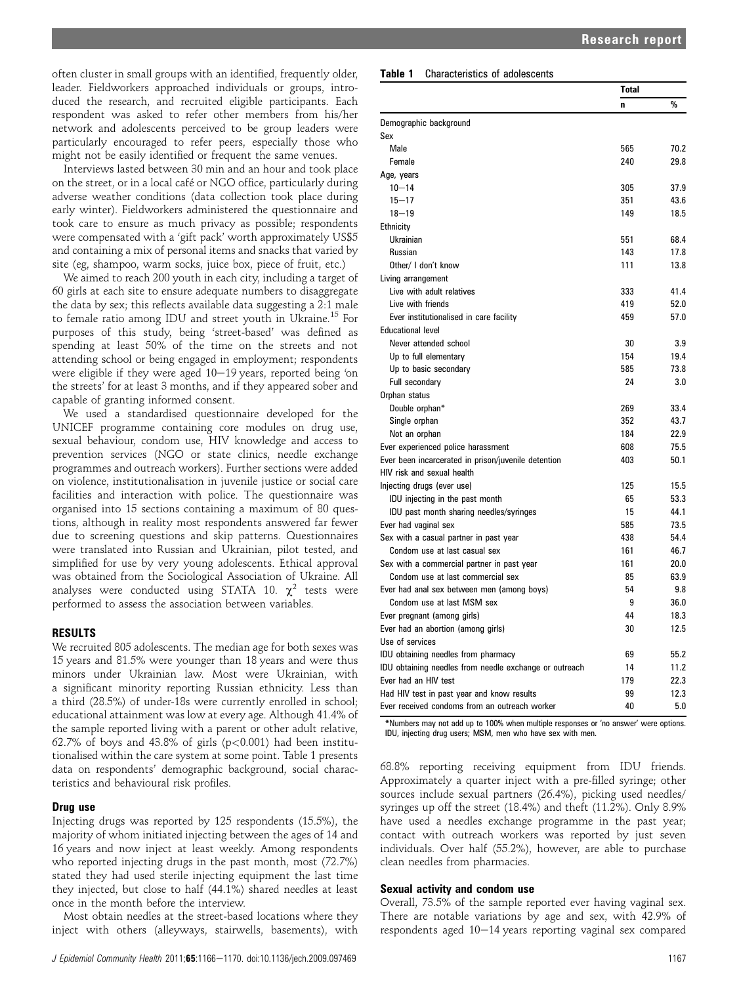often cluster in small groups with an identified, frequently older, leader. Fieldworkers approached individuals or groups, introduced the research, and recruited eligible participants. Each respondent was asked to refer other members from his/her network and adolescents perceived to be group leaders were particularly encouraged to refer peers, especially those who might not be easily identified or frequent the same venues.

Interviews lasted between 30 min and an hour and took place on the street, or in a local café or NGO office, particularly during adverse weather conditions (data collection took place during early winter). Fieldworkers administered the questionnaire and took care to ensure as much privacy as possible; respondents were compensated with a 'gift pack' worth approximately US\$5 and containing a mix of personal items and snacks that varied by site (eg, shampoo, warm socks, juice box, piece of fruit, etc.)

We aimed to reach 200 youth in each city, including a target of 60 girls at each site to ensure adequate numbers to disaggregate the data by sex; this reflects available data suggesting a 2:1 male to female ratio among IDU and street youth in Ukraine.<sup>15</sup> For purposes of this study, being 'street-based' was defined as spending at least 50% of the time on the streets and not attending school or being engaged in employment; respondents were eligible if they were aged  $10-19$  years, reported being 'on the streets' for at least 3 months, and if they appeared sober and capable of granting informed consent.

We used a standardised questionnaire developed for the UNICEF programme containing core modules on drug use, sexual behaviour, condom use, HIV knowledge and access to prevention services (NGO or state clinics, needle exchange programmes and outreach workers). Further sections were added on violence, institutionalisation in juvenile justice or social care facilities and interaction with police. The questionnaire was organised into 15 sections containing a maximum of 80 questions, although in reality most respondents answered far fewer due to screening questions and skip patterns. Questionnaires were translated into Russian and Ukrainian, pilot tested, and simplified for use by very young adolescents. Ethical approval was obtained from the Sociological Association of Ukraine. All analyses were conducted using STATA 10.  $\chi^2$  tests were performed to assess the association between variables.

## RESULTS

We recruited 805 adolescents. The median age for both sexes was 15 years and 81.5% were younger than 18 years and were thus minors under Ukrainian law. Most were Ukrainian, with a significant minority reporting Russian ethnicity. Less than a third (28.5%) of under-18s were currently enrolled in school; educational attainment was low at every age. Although 41.4% of the sample reported living with a parent or other adult relative, 62.7% of boys and 43.8% of girls ( $p<0.001$ ) had been institutionalised within the care system at some point. Table 1 presents data on respondents' demographic background, social characteristics and behavioural risk profiles.

#### Drug use

Injecting drugs was reported by 125 respondents (15.5%), the majority of whom initiated injecting between the ages of 14 and 16 years and now inject at least weekly. Among respondents who reported injecting drugs in the past month, most (72.7%) stated they had used sterile injecting equipment the last time they injected, but close to half (44.1%) shared needles at least once in the month before the interview.

Most obtain needles at the street-based locations where they inject with others (alleyways, stairwells, basements), with

#### Table 1 Characteristics of adolescents

|                                                        | <b>Total</b> |      |  |
|--------------------------------------------------------|--------------|------|--|
|                                                        | n            | %    |  |
| Demographic background                                 |              |      |  |
| Sex                                                    |              |      |  |
| Male                                                   | 565          | 70.2 |  |
| Female                                                 | 240          | 29.8 |  |
| Age, years                                             |              |      |  |
| $10 - 14$                                              | 305          | 37.9 |  |
| $15 - 17$                                              | 351          | 43.6 |  |
| $18 - 19$                                              | 149          | 18.5 |  |
| Ethnicity                                              |              |      |  |
| Ukrainian                                              | 551          | 68.4 |  |
| Russian                                                | 143          | 17.8 |  |
| Other/ I don't know                                    | 111          | 13.8 |  |
| Living arrangement                                     |              |      |  |
| Live with adult relatives                              | 333          | 41.4 |  |
| Live with friends                                      | 419          | 52.0 |  |
| Ever institutionalised in care facility                | 459          | 57.0 |  |
| <b>Educational level</b>                               |              |      |  |
| Never attended school                                  | 30           | 3.9  |  |
| Up to full elementary                                  | 154          | 19.4 |  |
| Up to basic secondary                                  | 585          | 73.8 |  |
| Full secondary                                         | 24           | 3.0  |  |
| Orphan status                                          |              |      |  |
| Double orphan*                                         | 269          | 33.4 |  |
| Single orphan                                          | 352          | 43.7 |  |
| Not an orphan                                          | 184          | 22.9 |  |
| Ever experienced police harassment                     | 608          | 75.5 |  |
| Ever been incarcerated in prison/juvenile detention    | 403          | 50.1 |  |
| HIV risk and sexual health                             |              |      |  |
| Injecting drugs (ever use)                             | 125          | 15.5 |  |
| IDU injecting in the past month                        | 65           | 53.3 |  |
| IDU past month sharing needles/syringes                | 15           | 44.1 |  |
| Ever had vaginal sex                                   | 585          | 73.5 |  |
| Sex with a casual partner in past year                 | 438          | 54.4 |  |
| Condom use at last casual sex                          | 161          | 46.7 |  |
| Sex with a commercial partner in past year             | 161          | 20.0 |  |
| Condom use at last commercial sex                      | 85           | 63.9 |  |
| Ever had anal sex between men (among boys)             | 54           | 9.8  |  |
| Condom use at last MSM sex                             | 9            | 36.0 |  |
| Ever pregnant (among girls)                            | 44           | 18.3 |  |
| Ever had an abortion (among girls)                     | 30           | 12.5 |  |
| Use of services                                        |              |      |  |
| <b>IDU</b> obtaining needles from pharmacy             | 69           | 55.2 |  |
| IDU obtaining needles from needle exchange or outreach | 14           | 11.2 |  |
| Ever had an HIV test                                   | 179          | 22.3 |  |
| Had HIV test in past year and know results             | 99           | 12.3 |  |
| Ever received condoms from an outreach worker          | 40           | 5.0  |  |
|                                                        |              |      |  |

\*Numbers may not add up to 100% when multiple responses or 'no answer' were options. IDU, injecting drug users; MSM, men who have sex with men.

68.8% reporting receiving equipment from IDU friends. Approximately a quarter inject with a pre-filled syringe; other sources include sexual partners (26.4%), picking used needles/ syringes up off the street (18.4%) and theft (11.2%). Only 8.9% have used a needles exchange programme in the past year; contact with outreach workers was reported by just seven individuals. Over half (55.2%), however, are able to purchase clean needles from pharmacies.

#### Sexual activity and condom use

Overall, 73.5% of the sample reported ever having vaginal sex. There are notable variations by age and sex, with 42.9% of respondents aged  $10-14$  years reporting vaginal sex compared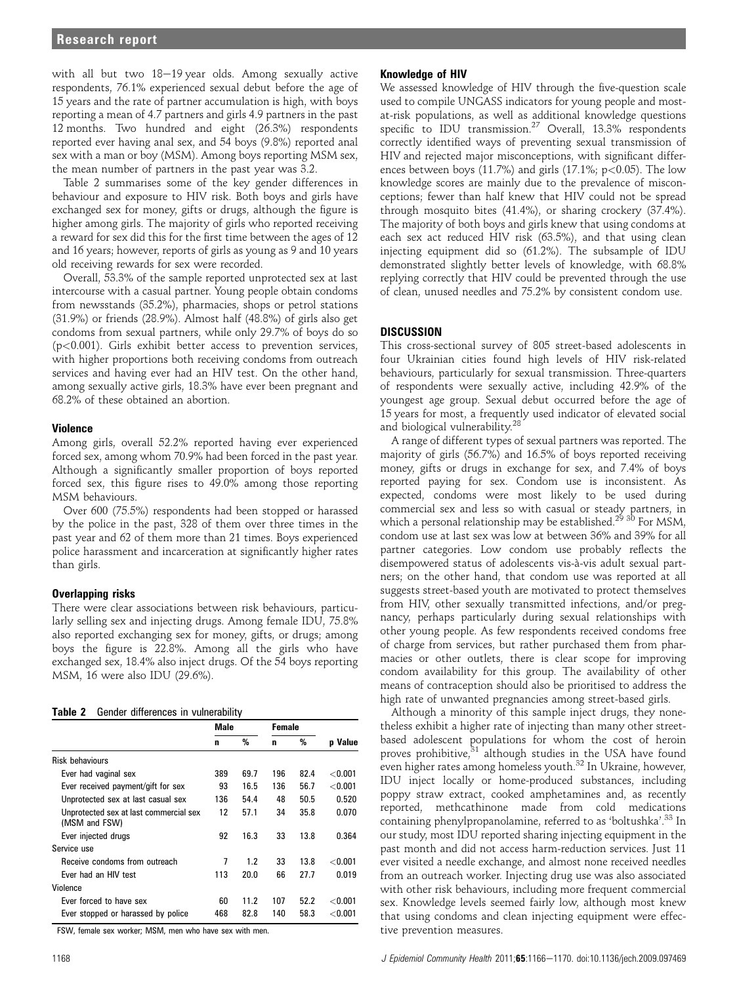with all but two  $18-19$  year olds. Among sexually active respondents, 76.1% experienced sexual debut before the age of 15 years and the rate of partner accumulation is high, with boys reporting a mean of 4.7 partners and girls 4.9 partners in the past 12 months. Two hundred and eight (26.3%) respondents reported ever having anal sex, and 54 boys (9.8%) reported anal sex with a man or boy (MSM). Among boys reporting MSM sex, the mean number of partners in the past year was 3.2.

Table 2 summarises some of the key gender differences in behaviour and exposure to HIV risk. Both boys and girls have exchanged sex for money, gifts or drugs, although the figure is higher among girls. The majority of girls who reported receiving a reward for sex did this for the first time between the ages of 12 and 16 years; however, reports of girls as young as 9 and 10 years old receiving rewards for sex were recorded.

Overall, 53.3% of the sample reported unprotected sex at last intercourse with a casual partner. Young people obtain condoms from newsstands (35.2%), pharmacies, shops or petrol stations (31.9%) or friends (28.9%). Almost half (48.8%) of girls also get condoms from sexual partners, while only 29.7% of boys do so (p<0.001). Girls exhibit better access to prevention services, with higher proportions both receiving condoms from outreach services and having ever had an HIV test. On the other hand, among sexually active girls, 18.3% have ever been pregnant and 68.2% of these obtained an abortion.

#### Violence

Among girls, overall 52.2% reported having ever experienced forced sex, among whom 70.9% had been forced in the past year. Although a significantly smaller proportion of boys reported forced sex, this figure rises to 49.0% among those reporting MSM behaviours.

Over 600 (75.5%) respondents had been stopped or harassed by the police in the past, 328 of them over three times in the past year and 62 of them more than 21 times. Boys experienced police harassment and incarceration at significantly higher rates than girls.

### Overlapping risks

There were clear associations between risk behaviours, particularly selling sex and injecting drugs. Among female IDU, 75.8% also reported exchanging sex for money, gifts, or drugs; among boys the figure is 22.8%. Among all the girls who have exchanged sex, 18.4% also inject drugs. Of the 54 boys reporting MSM, 16 were also IDU (29.6%).

#### Table 2 Gender differences in vulnerability

|                                                         | <b>Male</b> |      | Female |      |                |
|---------------------------------------------------------|-------------|------|--------|------|----------------|
|                                                         | n           | %    | n      | %    | p Value        |
| <b>Risk behaviours</b>                                  |             |      |        |      |                |
| Ever had vaginal sex                                    | 389         | 69.7 | 196    | 82.4 | < 0.001        |
| Ever received payment/gift for sex                      | 93          | 16.5 | 136    | 56.7 | $<$ 0.001 $\,$ |
| Unprotected sex at last casual sex                      | 136         | 54.4 | 48     | 50.5 | 0.520          |
| Unprotected sex at last commercial sex<br>(MSM and FSW) | 12          | 57.1 | 34     | 35.8 | 0.070          |
| Ever injected drugs                                     | 92          | 16.3 | 33     | 13.8 | 0.364          |
| Service use                                             |             |      |        |      |                |
| Receive condoms from outreach                           | 7           | 1.2  | 33     | 13.8 | $<$ 0.001 $\,$ |
| Ever had an HIV test                                    | 113         | 20.0 | 66     | 27.7 | 0.019          |
| Violence                                                |             |      |        |      |                |
| Ever forced to have sex                                 | 60          | 11.2 | 107    | 52.2 | < 0.001        |
| Ever stopped or harassed by police                      | 468         | 82.8 | 140    | 58.3 | $<$ 0.001 $\,$ |

FSW, female sex worker; MSM, men who have sex with men.

#### Knowledge of HIV

We assessed knowledge of HIV through the five-question scale used to compile UNGASS indicators for young people and mostat-risk populations, as well as additional knowledge questions specific to IDU transmission.<sup>27</sup> Overall, 13.3% respondents correctly identified ways of preventing sexual transmission of HIV and rejected major misconceptions, with significant differences between boys (11.7%) and girls (17.1%;  $p < 0.05$ ). The low knowledge scores are mainly due to the prevalence of misconceptions; fewer than half knew that HIV could not be spread through mosquito bites (41.4%), or sharing crockery (37.4%). The majority of both boys and girls knew that using condoms at each sex act reduced HIV risk (63.5%), and that using clean injecting equipment did so (61.2%). The subsample of IDU demonstrated slightly better levels of knowledge, with 68.8% replying correctly that HIV could be prevented through the use of clean, unused needles and 75.2% by consistent condom use.

#### **DISCUSSION**

This cross-sectional survey of 805 street-based adolescents in four Ukrainian cities found high levels of HIV risk-related behaviours, particularly for sexual transmission. Three-quarters of respondents were sexually active, including 42.9% of the youngest age group. Sexual debut occurred before the age of 15 years for most, a frequently used indicator of elevated social and biological vulnerability.<sup>28</sup>

A range of different types of sexual partners was reported. The majority of girls (56.7%) and 16.5% of boys reported receiving money, gifts or drugs in exchange for sex, and 7.4% of boys reported paying for sex. Condom use is inconsistent. As expected, condoms were most likely to be used during commercial sex and less so with casual or steady partners, in which a personal relationship may be established. $^{29\;30}$  For MSM, condom use at last sex was low at between 36% and 39% for all partner categories. Low condom use probably reflects the disempowered status of adolescents vis-à-vis adult sexual partners; on the other hand, that condom use was reported at all suggests street-based youth are motivated to protect themselves from HIV, other sexually transmitted infections, and/or pregnancy, perhaps particularly during sexual relationships with other young people. As few respondents received condoms free of charge from services, but rather purchased them from pharmacies or other outlets, there is clear scope for improving condom availability for this group. The availability of other means of contraception should also be prioritised to address the high rate of unwanted pregnancies among street-based girls.

Although a minority of this sample inject drugs, they nonetheless exhibit a higher rate of injecting than many other streetbased adolescent populations for whom the cost of heroin proves prohibitive, $31$  although studies in the USA have found even higher rates among homeless youth.<sup>32</sup> In Ukraine, however, IDU inject locally or home-produced substances, including poppy straw extract, cooked amphetamines and, as recently reported, methcathinone made from cold medications containing phenylpropanolamine, referred to as 'boltushka'.<sup>33</sup> In our study, most IDU reported sharing injecting equipment in the past month and did not access harm-reduction services. Just 11 ever visited a needle exchange, and almost none received needles from an outreach worker. Injecting drug use was also associated with other risk behaviours, including more frequent commercial sex. Knowledge levels seemed fairly low, although most knew that using condoms and clean injecting equipment were effective prevention measures.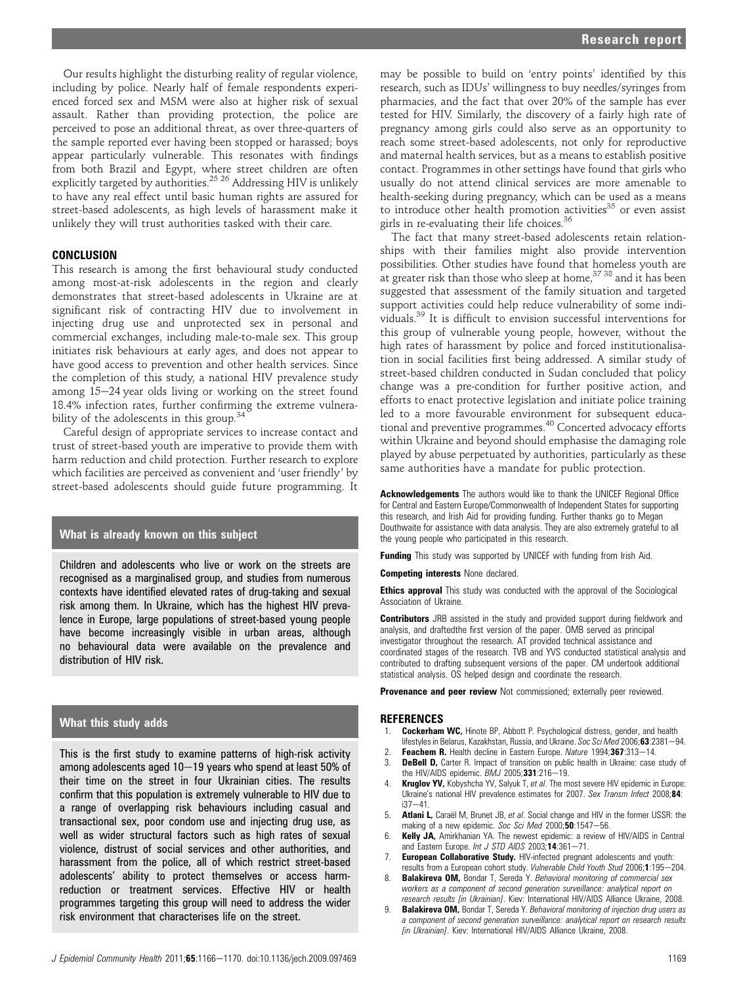Our results highlight the disturbing reality of regular violence, including by police. Nearly half of female respondents experienced forced sex and MSM were also at higher risk of sexual assault. Rather than providing protection, the police are perceived to pose an additional threat, as over three-quarters of the sample reported ever having been stopped or harassed; boys appear particularly vulnerable. This resonates with findings from both Brazil and Egypt, where street children are often explicitly targeted by authorities.<sup>25 26</sup> Addressing HIV is unlikely to have any real effect until basic human rights are assured for street-based adolescents, as high levels of harassment make it unlikely they will trust authorities tasked with their care.

#### **CONCLUSION**

This research is among the first behavioural study conducted among most-at-risk adolescents in the region and clearly demonstrates that street-based adolescents in Ukraine are at significant risk of contracting HIV due to involvement in injecting drug use and unprotected sex in personal and commercial exchanges, including male-to-male sex. This group initiates risk behaviours at early ages, and does not appear to have good access to prevention and other health services. Since the completion of this study, a national HIV prevalence study among 15-24 year olds living or working on the street found 18.4% infection rates, further confirming the extreme vulnerability of the adolescents in this group.<sup>34</sup>

Careful design of appropriate services to increase contact and trust of street-based youth are imperative to provide them with harm reduction and child protection. Further research to explore which facilities are perceived as convenient and 'user friendly' by street-based adolescents should guide future programming. It

## What is already known on this subject

Children and adolescents who live or work on the streets are recognised as a marginalised group, and studies from numerous contexts have identified elevated rates of drug-taking and sexual risk among them. In Ukraine, which has the highest HIV prevalence in Europe, large populations of street-based young people have become increasingly visible in urban areas, although no behavioural data were available on the prevalence and distribution of HIV risk.

### What this study adds

This is the first study to examine patterns of high-risk activity among adolescents aged  $10-19$  years who spend at least 50% of their time on the street in four Ukrainian cities. The results confirm that this population is extremely vulnerable to HIV due to a range of overlapping risk behaviours including casual and transactional sex, poor condom use and injecting drug use, as well as wider structural factors such as high rates of sexual violence, distrust of social services and other authorities, and harassment from the police, all of which restrict street-based adolescents' ability to protect themselves or access harmreduction or treatment services. Effective HIV or health programmes targeting this group will need to address the wider risk environment that characterises life on the street.

may be possible to build on 'entry points' identified by this research, such as IDUs' willingness to buy needles/syringes from pharmacies, and the fact that over 20% of the sample has ever tested for HIV. Similarly, the discovery of a fairly high rate of pregnancy among girls could also serve as an opportunity to reach some street-based adolescents, not only for reproductive and maternal health services, but as a means to establish positive contact. Programmes in other settings have found that girls who usually do not attend clinical services are more amenable to health-seeking during pregnancy, which can be used as a means to introduce other health promotion activities<sup>35</sup> or even assist girls in re-evaluating their life choices.<sup>36</sup>

The fact that many street-based adolescents retain relationships with their families might also provide intervention possibilities. Other studies have found that homeless youth are at greater risk than those who sleep at home,  $3738$  and it has been suggested that assessment of the family situation and targeted support activities could help reduce vulnerability of some individuals.<sup>39</sup> It is difficult to envision successful interventions for this group of vulnerable young people, however, without the high rates of harassment by police and forced institutionalisation in social facilities first being addressed. A similar study of street-based children conducted in Sudan concluded that policy change was a pre-condition for further positive action, and efforts to enact protective legislation and initiate police training led to a more favourable environment for subsequent educational and preventive programmes.<sup>40</sup> Concerted advocacy efforts within Ukraine and beyond should emphasise the damaging role played by abuse perpetuated by authorities, particularly as these same authorities have a mandate for public protection.

Acknowledgements The authors would like to thank the UNICEF Regional Office for Central and Eastern Europe/Commonwealth of Independent States for supporting this research, and Irish Aid for providing funding. Further thanks go to Megan Douthwaite for assistance with data analysis. They are also extremely grateful to all the young people who participated in this research.

Funding This study was supported by UNICEF with funding from Irish Aid.

Competing interests None declared.

**Ethics approval** This study was conducted with the approval of the Sociological Association of Ukraine.

**Contributors** JRB assisted in the study and provided support during fieldwork and analysis, and draftedthe first version of the paper. OMB served as principal investigator throughout the research. AT provided technical assistance and coordinated stages of the research. TVB and YVS conducted statistical analysis and contributed to drafting subsequent versions of the paper. CM undertook additional statistical analysis. OS helped design and coordinate the research.

Provenance and peer review Not commissioned; externally peer reviewed.

#### **REFERENCES**

- Cockerham WC, Hinote BP, Abbott P. Psychological distress, gender, and health lifestyles in Belarus, Kazakhstan, Russia, and Ukraine. Soc Sci Med 2006;63:2381-94.
- Feachem R. Health decline in Eastern Europe. Nature 1994;367:313-14. 3. DeBell D, Carter R. Impact of transition on public health in Ukraine: case study of the HIV/AIDS epidemic.  $BMJ$  2005;331:216-19.
- Kruglov YV, Kobyshcha YV, Salyuk T, et al. The most severe HIV epidemic in Europe: Ukraine's national HIV prevalence estimates for 2007. Sex Transm Infect 2008;84:  $i37 - 41$
- 5. Atlani L, Caraël M, Brunet JB, et al. Social change and HIV in the former USSR: the making of a new epidemic. Soc Sci Med 2000;50:1547-56.
- 6. Kelly JA, Amirkhanian YA. The newest epidemic: a review of HIV/AIDS in Central and Eastern Europe. Int J STD AIDS 2003; $14:361-71$ .
- European Collaborative Study. HIV-infected pregnant adolescents and youth: results from a European cohort study. Vulnerable Child Youth Stud 2006;1:195-204.
- 8. Balakireva OM, Bondar T, Sereda Y. Behavioral monitoring of commercial sex workers as a component of second generation surveillance: analytical report on research results [in Ukrainian]. Kiev: International HIV/AIDS Alliance Ukraine, 2008.
- **Balakireva OM, Bondar T, Sereda Y. Behavioral monitoring of injection drug users as** a component of second generation surveillance: analytical report on research results [in Ukrainian]. Kiev: International HIV/AIDS Alliance Ukraine, 2008.